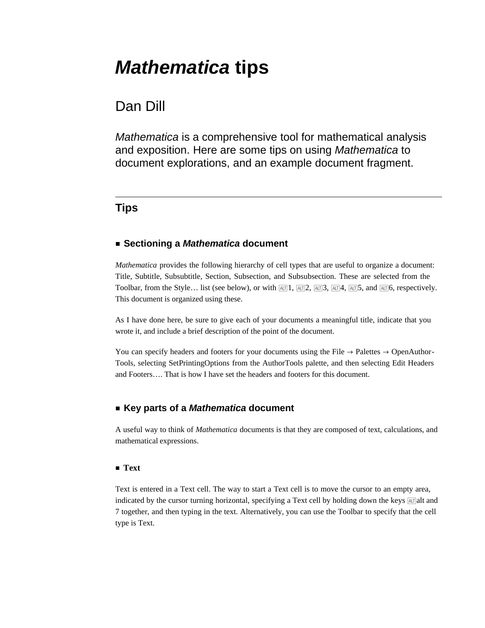# *Mathematica* **tips**

# Dan Dill

*Mathematica* is a comprehensive tool for mathematical analysis and exposition. Here are some tips on using *Mathematica* to document explorations, and an example document fragment.

# **Tips**

# **ü Sectioning a** *Mathematica* **document**

*Mathematica* provides the following hierarchy of cell types that are useful to organize a document: Title, Subtitle, Subsubtitle, Section, Subsection, and Subsubsection. These are selected from the Toolbar, from the Style… list (see below), or with  $\frac{[AT]}{[AT]}$ ,  $\frac{[AT]}{[2, AT]}$ ,  $\frac{[AT]}{[4, AT]}$ , and  $\frac{[AT]}{[4, AT]}$ , respectively. This document is organized using these.

As I have done here, be sure to give each of your documents a meaningful title, indicate that you wrote it, and include a brief description of the point of the document.

You can specify headers and footers for your documents using the File  $\rightarrow$  Palettes  $\rightarrow$  OpenAuthor-Tools, selecting SetPrintingOptions from the AuthorTools palette, and then selecting Edit Headers and Footers…. That is how I have set the headers and footers for this document.

# **ü Key parts of a** *Mathematica* **document**

A useful way to think of *Mathematica* documents is that they are composed of text, calculations, and mathematical expressions.

#### **ü Text**

Text is entered in a Text cell. The way to start a Text cell is to move the cursor to an empty area, indicated by the cursor turning horizontal, specifying a Text cell by holding down the keys  $AT$ alt and 7 together, and then typing in the text. Alternatively, you can use the Toolbar to specify that the cell type is Text.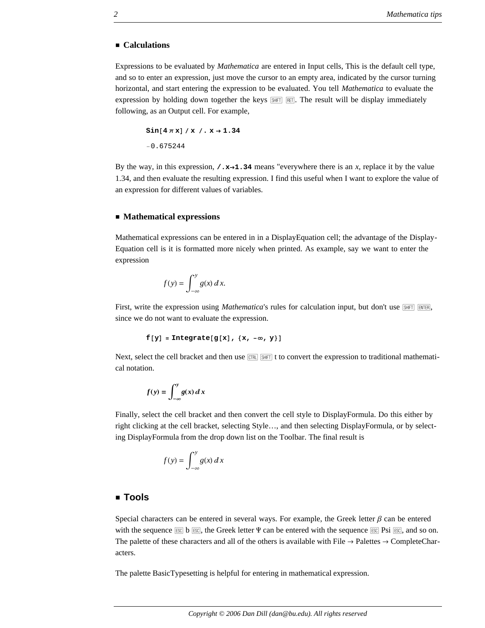#### **ü Calculations**

Expressions to be evaluated by *Mathematica* are entered in Input cells, This is the default cell type, and so to enter an expression, just move the cursor to an empty area, indicated by the cursor turning horizontal, and start entering the expression to be evaluated. You tell *Mathematica* to evaluate the expression by holding down together the keys  $\boxed{\overline{\text{NHT}}}$ . The result will be display immediately following, as an Output cell. For example,

```
\sin[4 \pi x] /x /x. x \rightarrow 1.34−0.675244
```
By the way, in this expression,  $\prime$ **.x** $\rightarrow$ **1.34** means "everywhere there is an *x*, replace it by the value 1.34, and then evaluate the resulting expression. I find this useful when I want to explore the value of an expression for different values of variables.

#### **ü Mathematical expressions**

Mathematical expressions can be entered in in a DisplayEquation cell; the advantage of the Display-Equation cell is it is formatted more nicely when printed. As example, say we want to enter the expression

$$
f(y) = \int_{-\infty}^{y} g(x) \, dx.
$$

First, write the expression using *Mathematica*'s rules for calculation input, but don't use **SHIFT** ENTER, since we do not want to evaluate the expression.

```
f[y] = Integrate[g[x], {x, -∞, y}]
```
Next, select the cell bracket and then use  $\overline{cnR}$   $\overline{SH}$  to convert the expression to traditional mathematical notation.

$$
f(y) = \int_{-\infty}^{y} g(x) \, dx
$$

Finally, select the cell bracket and then convert the cell style to DisplayFormula. Do this either by right clicking at the cell bracket, selecting Style…, and then selecting DisplayFormula, or by selecting DisplayFormula from the drop down list on the Toolbar. The final result is

$$
f(y) = \int_{-\infty}^{y} g(x) \, dx
$$

### **ü Tools**

Special characters can be entered in several ways. For example, the Greek letter  $\beta$  can be entered with the sequence  $\mathbb{R} \times \mathbb{R}$ , the Greek letter  $\Psi$  can be entered with the sequence  $\mathbb{R} \times \mathbb{R}$ , and so on. The palette of these characters and all of the others is available with File  $\rightarrow$  Palettes  $\rightarrow$  CompleteCharacters.

The palette BasicTypesetting is helpful for entering in mathematical expression.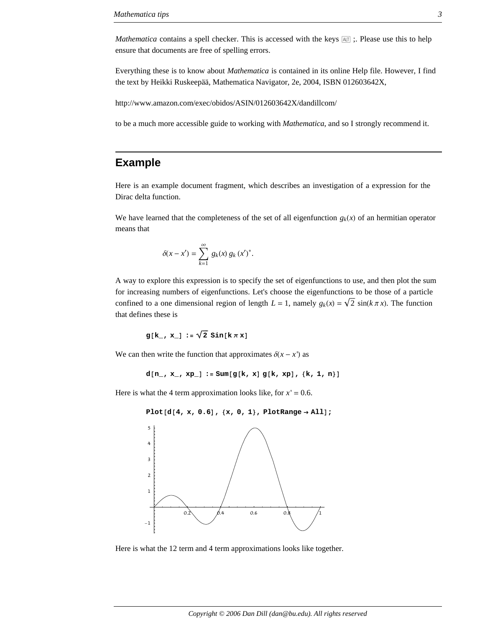*Mathematica* contains a spell checker. This is accessed with the keys  $\boxed{AT}$ ; Please use this to help ensure that documents are free of spelling errors.

Everything these is to know about *Mathematica* is contained in its online Help file. However, I find the text by Heikki Ruskeepää, Mathematica Navigator, 2e, 2004, ISBN 012603642X,

http://www.amazon.com/exec/obidos/ASIN/012603642X/dandillcom/

to be a much more accessible guide to working with *Mathematica*, and so I strongly recommend it.

# **Example**

Here is an example document fragment, which describes an investigation of a expression for the Dirac delta function.

We have learned that the completeness of the set of all eigenfunction  $g_k(x)$  of an hermitian operator means that

$$
\delta(x - x') = \sum_{k=1}^{\infty} g_k(x) g_k(x')^*.
$$

A way to explore this expression is to specify the set of eigenfunctions to use, and then plot the sum for increasing numbers of eigenfunctions. Let's choose the eigenfunctions to be those of a particle confined to a one dimensional region of length  $L = 1$ , namely  $g_k(x) = \sqrt{2} \sin(k \pi x)$ . The function that defines these is

$$
g[k_-, x_+] := \sqrt{2} \sin[k \pi x]
$$

We can then write the function that approximates  $\delta(x - x')$  as

 $d[n, x_-, x_0] := \text{Sum}[g[k, x] g[k, x], {k, 1, n}]$ 

Here is what the 4 term approximation looks like, for  $x' = 0.6$ .

```
Plot[d[4, x, 0.6], {x, 0, 1}, Problem
```


Here is what the 12 term and 4 term approximations looks like together.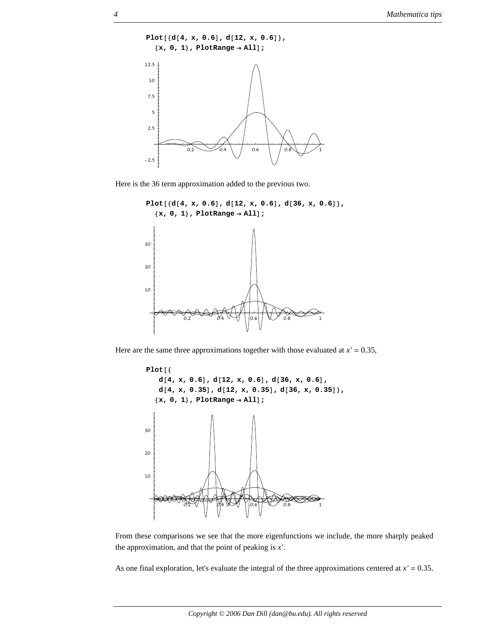

Here is the 36 term approximation added to the previous two.





Here are the same three approximations together with those evaluated at  $x' = 0.35$ ,



From these comparisons we see that the more eigenfunctions we include, the more sharply peaked the approximation, and that the point of peaking is *x*'.

As one final exploration, let's evaluate the integral of the three approximations centered at  $x' = 0.35$ .